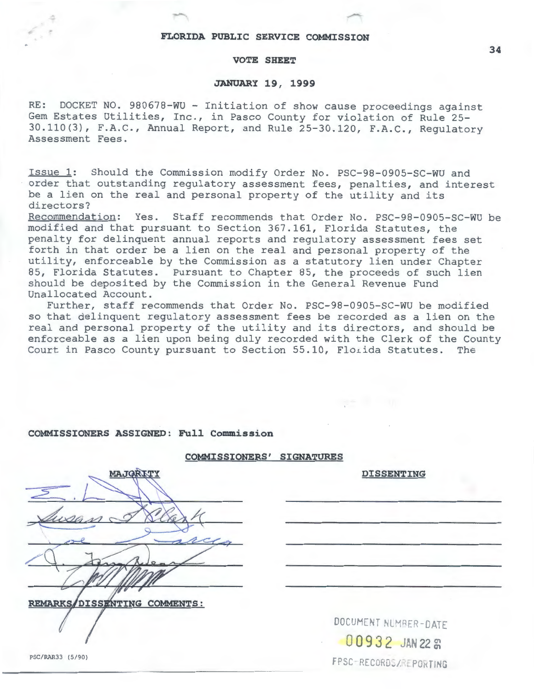### **FLORIDA PUBLIC SERVICE COMMISSION**

-

#### **VOTE SHEET**

### **JANUARY 19, 1999**

RE: DOCKET NO. 980678-WU - Initiation of show cause proceedings against Gem Estates Utilities, Inc., in Pasco County for violation of Rule 25- 30.110(3), F.A.C., Annual Report, and Rule 25-30.120, F.A.C., Regulatory Assessment Fees.

Issue 1: Should the Commission modify Order No. PSC-98-0905-SC-WU and order that outstanding regulatory assessment fees, penalties, and interest be a lien on the real and personal property of the utility and its directors?

Recommendation: Yes. Staff recommends that Order No. PSC-98-0905-SC-WU be modified and that pursuant to Section 367.161, Florida Statutes, the penalty for delinquent annual reports and regulatory assessment fees set forth in that order be a lien on the real and personal property of the utility, enforceable by the Commission as a statutory lien under Chapter 85, Florida Statutes. Pursuant to Chapter 85, the proceeds of such lien should be deposited by the Commission in the General Revenue Fund Unallocated Account.

Further, staff recommends that Order No. PSC-98-0905-SC-WU be modified so that delinquent regulatory assessment fees be recorded as a lien on the real and personal property of the utility and its directors, and should be enforceable as a lien upon being duly recorded with the Clerk of the County Court in Pasco County pursuant to Section 55.10, Florida Statutes. The

#### **COMMISSIONERS ASSIGNED: Full Commission**

## **COMMISSIONERS' SIGNATURES**

| MAJQRITY                     |
|------------------------------|
|                              |
| wan                          |
|                              |
|                              |
|                              |
| REMARKS/DISSENTING COMMENTS: |
|                              |

DOCUMENT NUMBER-DATE 00932 JAN 22 **8** FPSC-RECORDS/REPORTING

**DISSENTING**